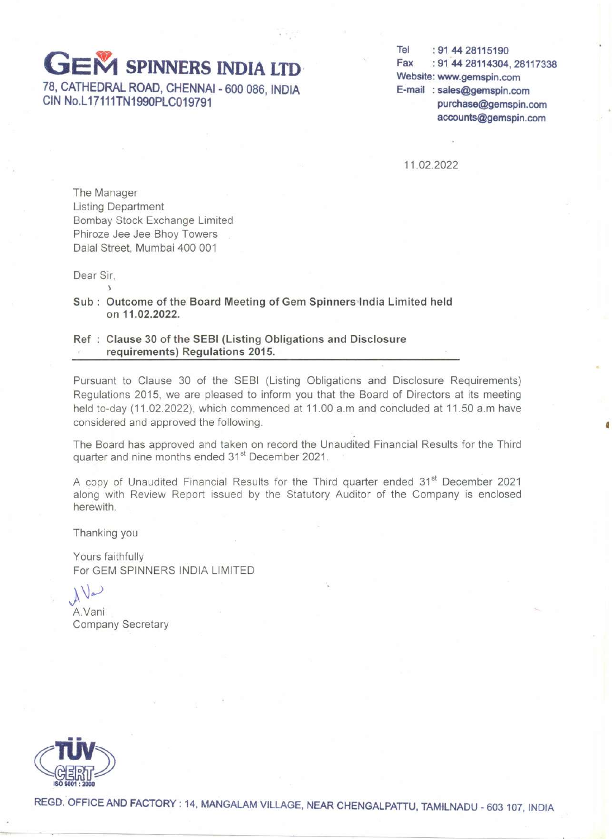# **GEM SPINNERS INDIA LTD**

**78, CATHEDRAL ROAD, CHENNAI - 600 086, INDIA CIN No.L 17111TN1990PLC019791**

**Tel: 91 44 28115190 Fax: 91'44 28114304,28117338 Website: www.gemspin.com E-mail: sales@gemspin.com purchase@gemspin.com accounts@gemspin.com**

•

11.02.2022

The Manager Listing Department Bombay Stock Exchange Limited Phiroze Jee Jee Bhoy Towers Dalal Street, Mumbai 400 001

Dear Sir,

)

**Sub: Outcome of the Board Meeting of Gem** Spinners-lndia **Limited held on 11.02.2022.**

#### **Ref Clause 30 of the SEBI (Listing Obligations and Disclosure requirements) Regulations 2015.**

Pursuant to Clause 30 of the SEBI (Listing Obligations and Disclosure Requirements) Regulations 2015, we are pleased to inform you that the Board of Directors at its meeting held to-day (11.02.2022), which commenced at 11.00 a.m and concluded at 11.50 a.m have considered and approved the following.

The Board has approved and taken on record the Unaudited Financial Results for the Third quarter and nine months ended 31<sup>st</sup> December 2021.

A copy of Unaudited Financial Results for the Third quarter ended 31<sup>st</sup> December 2021 along with Review Report issued by the Statutory Auditor of the Company is enclosed herewith.

Thanking you

Yours faithfully For GEM SPINNERS INDIA LIMITED

 $\bigwedge$ 

A.Vani Company Secretary



**REGD.' OFFICE AND FACTORY: 14, MANGALAM VILLAGE, NEAR CHENGALPATTU, TAMILNADU - 603 107, INDIA**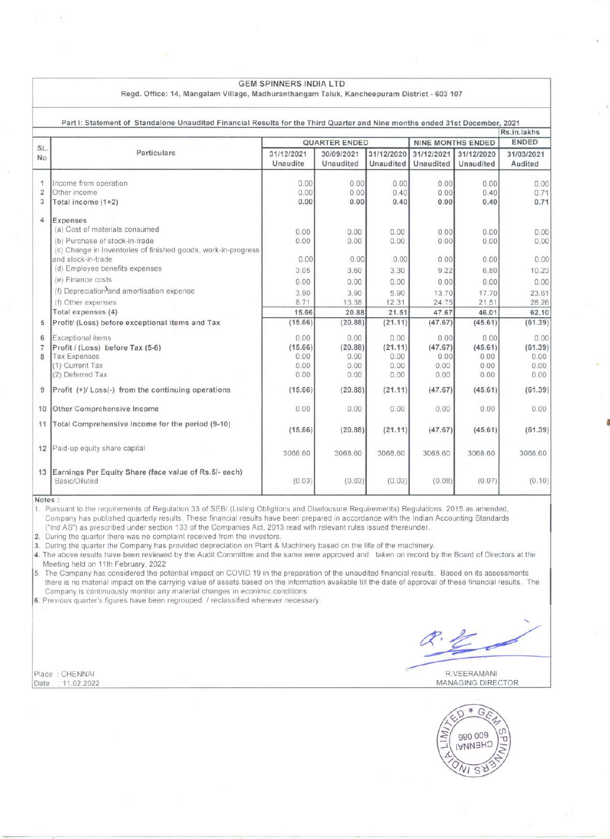|                | <b>GEM SPINNERS INDIA LTD</b><br>Regd. Office: 14, Mangalam Village, Madhuranthangam Taluk, Kancheepuram District - 603 107 |                        |                         |                         |                          |                         |                       |  |  |
|----------------|-----------------------------------------------------------------------------------------------------------------------------|------------------------|-------------------------|-------------------------|--------------------------|-------------------------|-----------------------|--|--|
|                | Part I: Statement of Standalone Unaudited Financial Results for the Third Quarter and Nine months ended 31st December, 2021 |                        |                         |                         |                          |                         |                       |  |  |
|                |                                                                                                                             |                        |                         |                         |                          |                         | Rs.in.lakhs           |  |  |
| SL.            |                                                                                                                             | <b>QUARTER ENDED</b>   |                         |                         | <b>NINE MONTHS ENDED</b> |                         | <b>ENDED</b>          |  |  |
| N <sub>o</sub> | Particulars                                                                                                                 | 31/12/2021<br>Unaudite | 30/09/2021<br>Unaudited | 31/12/2020<br>Unaudited | 31/12/2021<br>Unaudited  | 31/12/2020<br>Unaudited | 31/03/2021<br>Audited |  |  |
| 1              | Income from operation                                                                                                       | 0.00                   | 0.00                    | 0.00                    | 0.00                     | 0.00                    | 0.00                  |  |  |
| $\overline{2}$ | Other income                                                                                                                | 0.00                   | 0.00                    | 0.40                    | 0.00                     | 0.40                    | 0.71                  |  |  |
| 3              | Total income (1+2)                                                                                                          | 0.00                   | 0.00                    | 0.40                    | 0.00                     | 0.40                    | 0.71                  |  |  |
| $\overline{4}$ | Expenses<br>(a) Cost of materials consumed                                                                                  | 0.00                   | 0.00                    | 0.00                    | 0.00                     | 0.00                    | 0.00                  |  |  |
|                | (b) Purchase of stock-in-trade                                                                                              | 0.00                   | 0.00                    | 0.00                    | 0.00                     | 0.00                    | 0.00                  |  |  |
|                | (c) Change in Inventories of finished goods, work-in-progress                                                               |                        |                         |                         |                          |                         |                       |  |  |
|                | and stock-in-trade                                                                                                          | 0.00                   | 0.00                    | 0.00                    | 0.00                     | 0.00                    | 0.00                  |  |  |
|                | (d) Employee benefits expenses                                                                                              | 3.05                   | 3.60                    | 3.30                    | 9.22                     | 6.80                    | 10.23                 |  |  |
|                | (e) Finance costs                                                                                                           | 0.00                   | 0.00                    | 0.00                    | 0.00                     | 0.00                    | 0.00                  |  |  |
|                | (f) Depreciation <sup>3</sup> and amortisation expense                                                                      | 3.90                   | 3.90                    | 5.90                    | 13.70                    | 17.70                   | 23.61                 |  |  |
|                | (f) Other expenses                                                                                                          | 8.71                   | 13.38                   | 12.31                   | 24.75                    | 21.51                   | 28.26                 |  |  |
|                | Total expenses (4)                                                                                                          | 15.66                  | 20.88                   | 21.51                   | 47.67                    | 46.01                   | 62.10                 |  |  |
| 5              | Profit/ (Loss) before exceptional items and Tax                                                                             | (15.66)                | (20.88)                 | (21.11)                 | (47.67)                  | (45.61)                 | (61.39)               |  |  |
| 6              | Exceptional items                                                                                                           | 0.00                   | 0.00                    | 0.00                    | 0.00                     | 0.00                    | 0.00                  |  |  |
| $\overline{7}$ | Profit / (Loss) before Tax (5-6)                                                                                            | (15.66)                | (20.88)                 | (21.11)                 | (47.67)                  | (45.61)                 | (61.39)               |  |  |
| 8              | <b>Tax Expenses</b>                                                                                                         | 0.00                   | 0.00                    | 0.00                    | 0.00                     | 0.00                    | 0.00                  |  |  |
|                | (1) Current Tax                                                                                                             | 0.00                   | 0.00                    | 0.00                    | 0.00                     | 0.00                    | 0.00                  |  |  |
|                | (2) Deferred Tax                                                                                                            | 0.00                   | 0.00                    | 0.00                    | 0.00                     | 0.00                    | 0.00                  |  |  |
| 9              | Profit (+)/ Loss(-) from the continuing operations                                                                          | (15.66)                | (20.88)                 | (21.11)                 | (47.67)                  | (45.61)                 | (61.39)               |  |  |
| 10             | Other Comprehensive Income                                                                                                  | 0.00                   | 0.00                    | 0.00                    | 0.00                     | 0.00                    | 0.00                  |  |  |
| 11             | Total Comprehensive Income for the period (9-10)                                                                            | (15.66)                | (20.88)                 | (21.11)                 | (47.67)                  | (45.61)                 | (61.39)               |  |  |
| 12             | Paid-up equity share capital                                                                                                | 3068.60                | 3068.60                 | 3068.60                 | 3068.60                  | 3068.60                 | 3068.60               |  |  |
| 13             | Earnings Per Equity Share (face value of Rs.5/- each)<br>Basic/Diluted                                                      | (0.03)                 | (0.03)                  | (0.03)                  | (0.08)                   | (0.07)                  | (0.10)                |  |  |

Notes:

1 Pursuant to the requirements of Regulation 33 of SEBI (Listing Obligtions and Diselousure Requirements) Regulations, 2015 as amended, Company has published quarterly results. These financial results have been prepared in accordance with the Indian Accounting Standards ("Ind AS") as prescribed under section 133 of the Companies Act, 2013 read with relevant rules issued thereunder.

2. During the quarter there was no complaint received from the investors.

3. During the quarter the Company has provided depreciation on Plant & Machinery based on the life of the machinery.

4. The above results have been reviewed by the Audit Committee and the same were approved and taken on record by the Board of Directors at the Meeting held on 11th February, 2022

5. The Company has considered the potential impact on COVID 19 in the preparation of the unaudited financial results. Based on its assessments there is no material impact on the carrying value of assets based on the information available till the date of approval of these financial results. The Company is continuously monitor any material changes in econimic conditions.

6. Previous quarter's figures have been regrouped *1* reclassified wherever necessary.

~~

•

Place : CHENNAI RVEERAMANI RVEERAMANI RVEERAMANI RVEERAMANI RVEERAMANI RVEERAMANI RVEERAMANI Date . 11.02.2022 MANAGING DIRECTOR

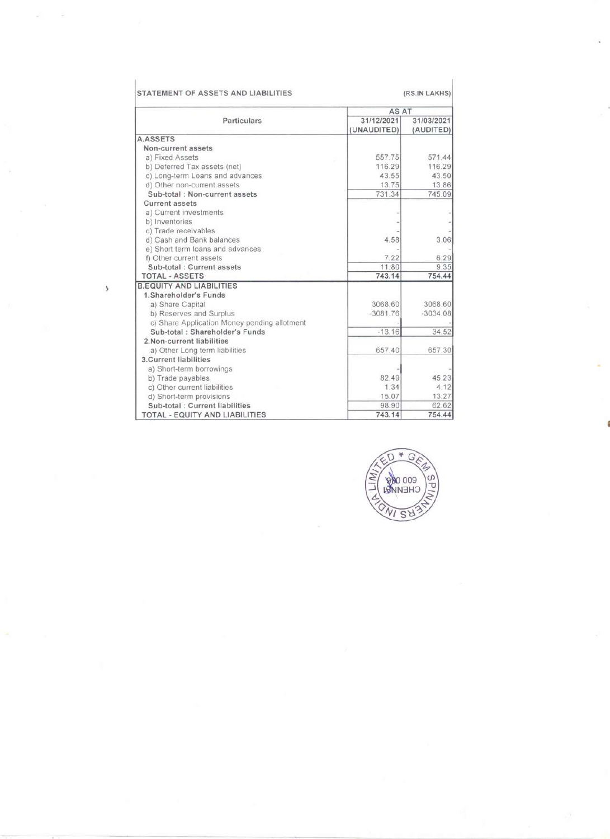|                                              |             | AS AT      |  |  |  |
|----------------------------------------------|-------------|------------|--|--|--|
| Particulars                                  | 31/12/2021  | 31/03/2021 |  |  |  |
|                                              | (UNAUDITED) | (AUDITED)  |  |  |  |
| <b>A.ASSETS</b>                              |             |            |  |  |  |
| Non-current assets                           |             |            |  |  |  |
| a) Fixed Assets                              | 557.75      | 571.44     |  |  |  |
| b) Deferred Tax assets (net)                 | 116.29      | 116.29     |  |  |  |
| c) Long-term Loans and advances              | 43.55       | 43.50      |  |  |  |
| d) Other non-current assets                  | 13.75       | 13.86      |  |  |  |
| Sub-total: Non-current assets                | 731.34      | 745.09     |  |  |  |
| <b>Current assets</b>                        |             |            |  |  |  |
| a) Current investments                       |             |            |  |  |  |
| b) Inventories                               |             |            |  |  |  |
| c) Trade receivables                         |             |            |  |  |  |
| d) Cash and Bank balances                    | 4.58        | 3.06       |  |  |  |
| e) Short term loans and advances             |             |            |  |  |  |
| f) Other current assets                      | 7.22        | 6.29       |  |  |  |
| Sub-total : Current assets                   | 11.80       | 9.35       |  |  |  |
| <b>TOTAL - ASSETS</b>                        | 743.14      | 754.44     |  |  |  |
| <b>B.EQUITY AND LIABILITIES</b>              |             |            |  |  |  |
| 1.Shareholder's Funds                        |             |            |  |  |  |
| a) Share Capital                             | 3068.60     | 3068.60    |  |  |  |
| b) Reserves and Surplus                      | $-3081.76$  | $-3034.08$ |  |  |  |
| c) Share Application Money pending allotment |             |            |  |  |  |
| Sub-total: Shareholder's Funds               | $-13.16$    | 34.52      |  |  |  |
| 2. Non-current liabilities                   |             |            |  |  |  |
| a) Other Long term liabilities               | 657.40      | 657.30     |  |  |  |
| 3. Current liabilities                       |             |            |  |  |  |
| a) Short-term borrowings                     |             |            |  |  |  |
| b) Trade payables                            | 82.49       | 45.23      |  |  |  |
| c) Other current liabilities                 | 1.34        | 4.12       |  |  |  |
| d) Short-term provisions                     | 15.07       | 13.27      |  |  |  |
| Sub-total : Current liabilities              | 98.90       | 62.62      |  |  |  |
| TOTAL - EQUITY AND LIABILITIES               | 743.14      | 754.44     |  |  |  |